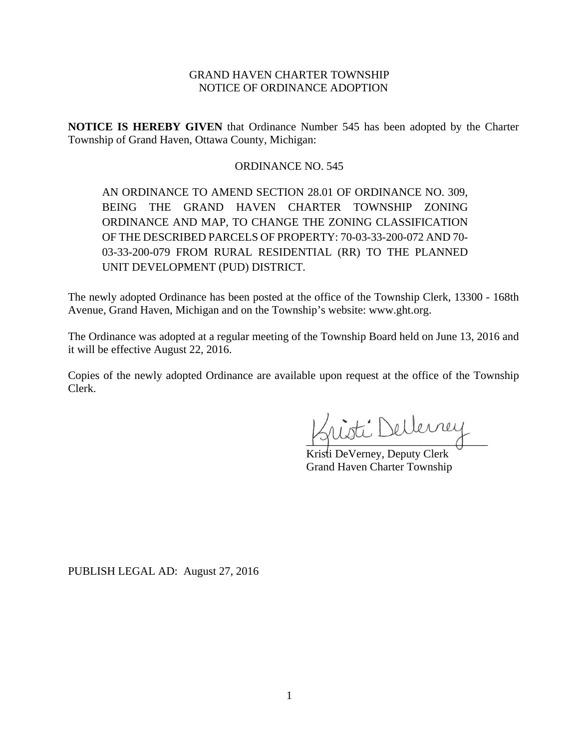## GRAND HAVEN CHARTER TOWNSHIP NOTICE OF ORDINANCE ADOPTION

**NOTICE IS HEREBY GIVEN** that Ordinance Number 545 has been adopted by the Charter Township of Grand Haven, Ottawa County, Michigan:

# ORDINANCE NO. 545

AN ORDINANCE TO AMEND SECTION 28.01 OF ORDINANCE NO. 309, BEING THE GRAND HAVEN CHARTER TOWNSHIP ZONING ORDINANCE AND MAP, TO CHANGE THE ZONING CLASSIFICATION OF THE DESCRIBED PARCELS OF PROPERTY: 70-03-33-200-072 AND 70- 03-33-200-079 FROM RURAL RESIDENTIAL (RR) TO THE PLANNED UNIT DEVELOPMENT (PUD) DISTRICT.

The newly adopted Ordinance has been posted at the office of the Township Clerk, 13300 - 168th Avenue, Grand Haven, Michigan and on the Township's website: www.ght.org.

The Ordinance was adopted at a regular meeting of the Township Board held on June 13, 2016 and it will be effective August 22, 2016.

Copies of the newly adopted Ordinance are available upon request at the office of the Township Clerk.

isti Dellemey

Kristi DeVerney, Deputy Clerk Grand Haven Charter Township

PUBLISH LEGAL AD: August 27, 2016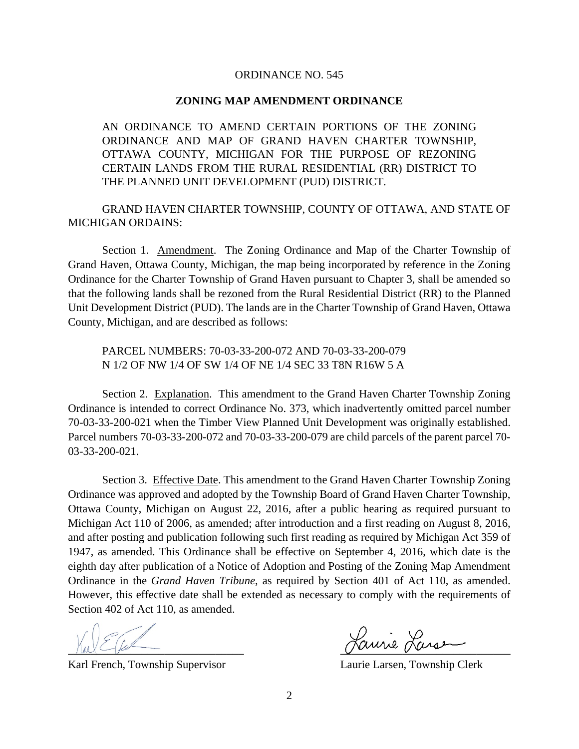#### ORDINANCE NO. 545

### **ZONING MAP AMENDMENT ORDINANCE**

AN ORDINANCE TO AMEND CERTAIN PORTIONS OF THE ZONING ORDINANCE AND MAP OF GRAND HAVEN CHARTER TOWNSHIP, OTTAWA COUNTY, MICHIGAN FOR THE PURPOSE OF REZONING CERTAIN LANDS FROM THE RURAL RESIDENTIAL (RR) DISTRICT TO THE PLANNED UNIT DEVELOPMENT (PUD) DISTRICT.

GRAND HAVEN CHARTER TOWNSHIP, COUNTY OF OTTAWA, AND STATE OF MICHIGAN ORDAINS:

Section 1. Amendment. The Zoning Ordinance and Map of the Charter Township of Grand Haven, Ottawa County, Michigan, the map being incorporated by reference in the Zoning Ordinance for the Charter Township of Grand Haven pursuant to Chapter 3, shall be amended so that the following lands shall be rezoned from the Rural Residential District (RR) to the Planned Unit Development District (PUD). The lands are in the Charter Township of Grand Haven, Ottawa County, Michigan, and are described as follows:

PARCEL NUMBERS: 70-03-33-200-072 AND 70-03-33-200-079 N 1/2 OF NW 1/4 OF SW 1/4 OF NE 1/4 SEC 33 T8N R16W 5 A

Section 2. Explanation. This amendment to the Grand Haven Charter Township Zoning Ordinance is intended to correct Ordinance No. 373, which inadvertently omitted parcel number 70-03-33-200-021 when the Timber View Planned Unit Development was originally established. Parcel numbers 70-03-33-200-072 and 70-03-33-200-079 are child parcels of the parent parcel 70- 03-33-200-021.

Section 3. Effective Date. This amendment to the Grand Haven Charter Township Zoning Ordinance was approved and adopted by the Township Board of Grand Haven Charter Township, Ottawa County, Michigan on August 22, 2016, after a public hearing as required pursuant to Michigan Act 110 of 2006, as amended; after introduction and a first reading on August 8, 2016, and after posting and publication following such first reading as required by Michigan Act 359 of 1947, as amended. This Ordinance shall be effective on September 4, 2016, which date is the eighth day after publication of a Notice of Adoption and Posting of the Zoning Map Amendment Ordinance in the *Grand Haven Tribune*, as required by Section 401 of Act 110, as amended. However, this effective date shall be extended as necessary to comply with the requirements of Section 402 of Act 110, as amended.

Karl French, Township Supervisor Laurie Larsen, Township Clerk

Hannie Larse